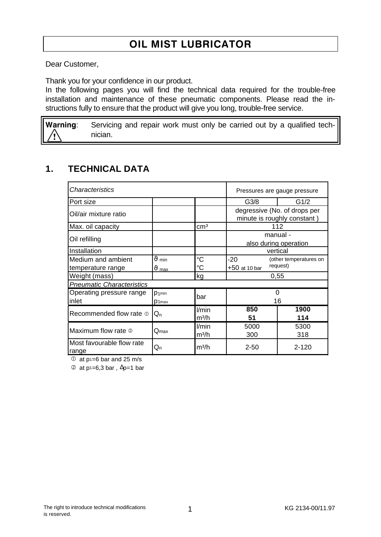# OIL MIST LUBRICATOR

Dear Customer,

Thank you for your confidence in our product.

In the following pages you will find the technical data required for the trouble-free installation and maintenance of these pneumatic components. Please read the instructions fully to ensure that the product will give you long, trouble-free service.

Warning: Servicing and repair work must only be carried out by a qualified technician.

#### **1. TECHNICAL DATA**

| Characteristics                         | Pressures are gauge pressure       |                            |                                                              |             |  |
|-----------------------------------------|------------------------------------|----------------------------|--------------------------------------------------------------|-------------|--|
| Port size                               |                                    |                            | G <sub>3/8</sub>                                             | G1/2        |  |
| Oil/air mixture ratio                   |                                    |                            | degressive (No. of drops per<br>minute is roughly constant)  |             |  |
| Max. oil capacity                       |                                    | cm <sup>3</sup>            | 112                                                          |             |  |
| Oil refilling                           |                                    |                            | manual -<br>also during operation                            |             |  |
| Installation                            |                                    |                            | vertical                                                     |             |  |
| Medium and ambient<br>temperature range | $\vartheta$ min<br>$\vartheta$ max | $\rm ^{\circ}C$<br>°C      | -20<br>(other temperatures on<br>request)<br>$+50$ at 10 bar |             |  |
| Weight (mass)                           |                                    | kg                         | 0,55                                                         |             |  |
| <b>Pneumatic Characteristics</b>        |                                    |                            |                                                              |             |  |
| Operating pressure range<br>inlet       | $D$ 1min<br>D <sub>1max</sub>      | bar                        | 0<br>16                                                      |             |  |
| Recommended flow rate $\Phi$            | $Q_{n}$                            | l/min<br>m <sup>3</sup> /h | 850<br>51                                                    | 1900<br>114 |  |
| Maximum flow rate 2                     | $\mathsf{Q}_{\textsf{max}}$        | l/min<br>m <sup>3</sup> /h | 5000<br>300                                                  | 5300<br>318 |  |
| Most favourable flow rate<br>range      | Qn                                 | m <sup>3</sup> /h          | $2 - 50$                                                     | $2 - 120$   |  |

 $\overline{O}$  at p<sub>1=6</sub> bar and 25 m/s

 $\textcircled{2}$  at p<sup>1</sup>=6,3 bar,  $\Delta p=1$  bar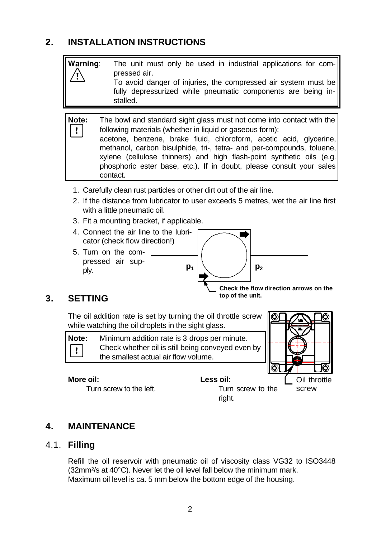## **2. INSTALLATION INSTRUCTIONS**



- 3. Fit a mounting bracket, if applicable.
- 4. Connect the air line to the lubricator (check flow direction!)
- 5. Turn on the compressed air supply.



#### **3. SETTING**

Ţ

The oil addition rate is set by turning the oil throttle screw while watching the oil droplets in the sight glass.

**Note:** Minimum addition rate is 3 drops per minute. Check whether oil is still being conveyed even by the smallest actual air flow volume.



#### **More oil:**

Turn screw to the left.



**4. MAINTENANCE**

#### 4.1. **Filling**

Refill the oil reservoir with pneumatic oil of viscosity class VG32 to ISO3448 (32mm²/s at 40°C). Never let the oil level fall below the minimum mark. Maximum oil level is ca. 5 mm below the bottom edge of the housing.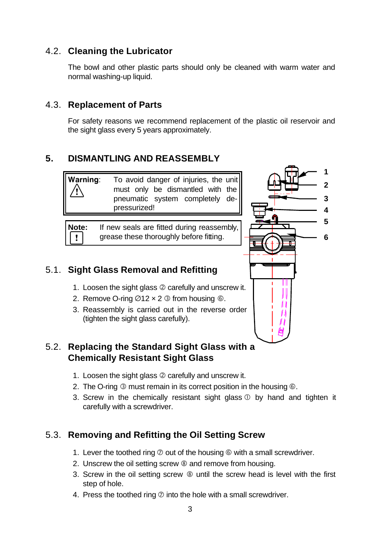### 4.2. **Cleaning the Lubricator**

The bowl and other plastic parts should only be cleaned with warm water and normal washing-up liquid.

#### 4.3. **Replacement of Parts**

For safety reasons we recommend replacement of the plastic oil reservoir and the sight glass every 5 years approximately.

#### **5. DISMANTLING AND REASSEMBLY**

| Warning:   | To avoid danger of injuries, the unit |  |                                  |  |  |  |
|------------|---------------------------------------|--|----------------------------------|--|--|--|
| $\sqrt{N}$ |                                       |  | must only be dismantled with the |  |  |  |
|            |                                       |  | pneumatic system completely de-  |  |  |  |
|            | pressurized!                          |  |                                  |  |  |  |

**Note:** If new seals are fitted during reassembly, grease these thoroughly before fitting.  $\mathbf{I}$ 

#### 5.1. **Sight Glass Removal and Refitting**

- 1. Loosen the sight glass @ carefully and unscrew it.
- 2. Remove O-ring  $\varnothing$ 12 x 2  $\varnothing$  from housing  $\varnothing$ .
- 3. Reassembly is carried out in the reverse order (tighten the sight glass carefully).

#### 5.2. **Replacing the Standard Sight Glass with a Chemically Resistant Sight Glass**

- 1. Loosen the sight glass @ carefully and unscrew it.
- 2. The O-ring  $\circled{S}$  must remain in its correct position in the housing  $\circled{S}$ .
- 3. Screw in the chemically resistant sight glass  $\mathbb D$  by hand and tighten it carefully with a screwdriver.

### 5.3. **Removing and Refitting the Oil Setting Screw**

- 1. Lever the toothed ring  $\oslash$  out of the housing  $\odot$  with a small screwdriver.
- 2. Unscrew the oil setting screw <sup>®</sup> and remove from housing.
- 3. Screw in the oil setting screw  $\circledast$  until the screw head is level with the first step of hole.
- 4. Press the toothed ring  $\oslash$  into the hole with a small screwdriver.

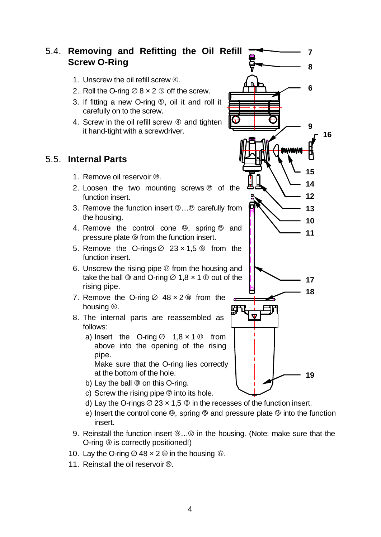#### 5.4. **Removing and Refitting the Oil Refill Screw O-Ring**

- 1. Unscrew the oil refill screw  $@.$
- 2. Roll the O-ring  $\varnothing$  8  $\times$  2  $\varnothing$  off the screw.
- 3. If fitting a new O-ring Ö, oil it and roll it carefully on to the screw.
- 4. Screw in the oil refill screw  $\Phi$  and tighten it hand-tight with a screwdriver.

### 5.5. **Internal Parts**

- 1. Remove oil reservoir  $\circledcirc$ .
- 2. Loosen the two mounting screws ë of the function insert.
- 3. Remove the function insert  $@...@$  carefully from the housing.
- 4. Remove the control cone  $\omega$ , spring  $\omega$  and pressure plate  $\circledast$  from the function insert.
- 5. Remove the O-rings  $\varnothing$  23 x 1,5  $\varnothing$  from the function insert.
- 6. Unscrew the rising pipe  $\mathcal{D}$  from the housing and take the ball  $\omega$  and O-ring  $\varnothing$  1,8  $\times$  1  $\omega$  out of the rising pipe.
- 7. Remove the O-ring  $\varnothing$  48  $\times$  2 ® from the housing  $\circledcirc$ .
- 8. The internal parts are reassembled as follows:
	- a) Insert the O-ring  $\varnothing$  1,8  $\times$  1  $\varnothing$  from above into the opening of the rising pipe.

Make sure that the O-ring lies correctly at the bottom of the hole.

- b) Lay the ball  $@$  on this O-ring.
- c) Screw the rising pipe  $\mathcal D$  into its hole.
- d) Lay the O-rings  $\varnothing$  23 x 1,5  $\varnothing$  in the recesses of the function insert.
- e) Insert the control cone  $\omega$ , spring  $\omega$  and pressure plate  $\omega$  into the function insert.
- 9. Reinstall the function insert  $\mathcal{D} \dots \mathcal{D}$  in the housing. (Note: make sure that the O-ring  $\circledcirc$  is correctly positioned!)
- 10. Lay the O-ring  $\varnothing$  48  $\times$  2 ® in the housing ©.
- 11. Reinstall the oil reservoir  $\circledast$ .

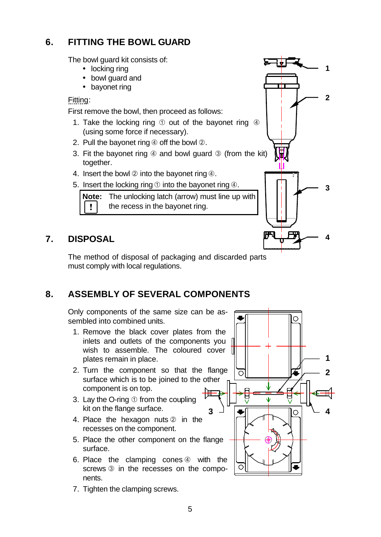## **6. FITTING THE BOWL GUARD**

The bowl guard kit consists of:

- locking ring
- bowl guard and
- bayonet ring

Fitting:

First remove the bowl, then proceed as follows:

- 1. Take the locking ring  $\odot$  out of the bayonet ring  $\odot$ (using some force if necessary).
- 2. Pull the bayonet ring  $\circled{a}$  off the bowl  $\circled{a}$ .
- 3. Fit the bayonet ring  $\Phi$  and bowl guard  $\Phi$  (from the kit) together.
- 4. Insert the bowl  $\oslash$  into the bayonet ring  $\oslash$ .
- 5. Insert the locking ring  $\odot$  into the bayonet ring  $\ddot{\Phi}$ .

**Note:** The unlocking latch (arrow) must line up with  $\pmb{\mathsf{v}}$ the recess in the bayonet ring.

### **7. DISPOSAL**

The method of disposal of packaging and discarded parts must comply with local regulations.

### **8. ASSEMBLY OF SEVERAL COMPONENTS**

Only components of the same size can be assembled into combined units.

- 1. Remove the black cover plates from the inlets and outlets of the components you wish to assemble. The coloured cover plates remain in place.
- 2. Turn the component so that the flange surface which is to be joined to the other component is on top. ᡰ╫
- 3. Lay the O-ring  $\odot$  from the coupling kit on the flange surface.
- 4. Place the hexagon nuts  $@$  in the recesses on the component.
- 5. Place the other component on the flange surface.
- 6. Place the clamping cones  $\circled{a}$  with the screws  $\circled{3}$  in the recesses on the components.
- 7. Tighten the clamping screws.